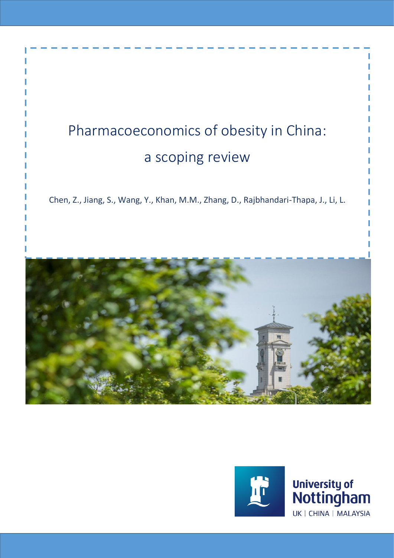# Pharmacoeconomics of obesity in China: a scoping review

Chen, Z., Jiang, S., Wang, Y., Khan, M.M., Zhang, D., Rajbhandari-Thapa, J., Li, L.



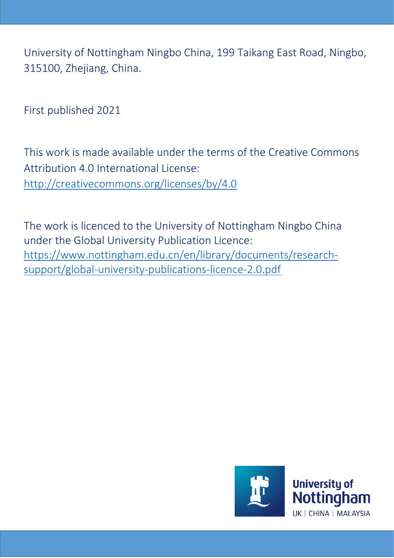University of Nottingham Ningbo China, 199 Taikang East Road, Ningbo, 315100, Zhejiang, China.

First published 2021

This work is made available under the terms of the Creative Commons Attribution 4.0 International License: <http://creativecommons.org/licenses/by/4.0>

The work is licenced to the University of Nottingham Ningbo China under the Global University Publication Licence: https://www.nottingham.edu.cn/en/library/documents/researchsupport/global-university-publications-licence-2.0.pdf

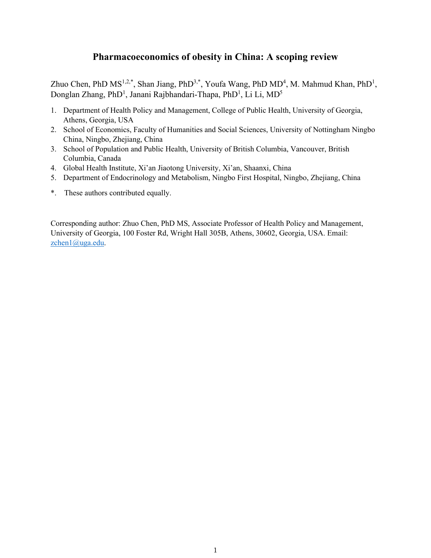# **Pharmacoeconomics of obesity in China: A scoping review**

Zhuo Chen, PhD  $MS^{1,2,*}$ , Shan Jiang, PhD<sup>3,\*</sup>, Youfa Wang, PhD  $MD^4$ , M. Mahmud Khan, PhD<sup>1</sup>, Donglan Zhang, PhD<sup>1</sup>, Janani Rajbhandari-Thapa, PhD<sup>1</sup>, Li Li, MD<sup>5</sup>

- 1. Department of Health Policy and Management, College of Public Health, University of Georgia, Athens, Georgia, USA
- 2. School of Economics, Faculty of Humanities and Social Sciences, University of Nottingham Ningbo China, Ningbo, Zhejiang, China
- 3. School of Population and Public Health, University of British Columbia, Vancouver, British Columbia, Canada
- 4. Global Health Institute, Xi'an Jiaotong University, Xi'an, Shaanxi, China
- 5. Department of Endocrinology and Metabolism, Ningbo First Hospital, Ningbo, Zhejiang, China
- \*. These authors contributed equally.

Corresponding author: Zhuo Chen, PhD MS, Associate Professor of Health Policy and Management, University of Georgia, 100 Foster Rd, Wright Hall 305B, Athens, 30602, Georgia, USA. Email: zchen1@uga.edu.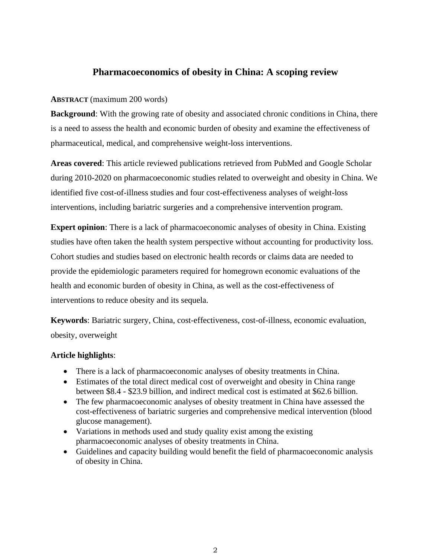# **Pharmacoeconomics of obesity in China: A scoping review**

# **ABSTRACT** (maximum 200 words)

**Background**: With the growing rate of obesity and associated chronic conditions in China, there is a need to assess the health and economic burden of obesity and examine the effectiveness of pharmaceutical, medical, and comprehensive weight-loss interventions.

**Areas covered**: This article reviewed publications retrieved from PubMed and Google Scholar during 2010-2020 on pharmacoeconomic studies related to overweight and obesity in China. We identified five cost-of-illness studies and four cost-effectiveness analyses of weight-loss interventions, including bariatric surgeries and a comprehensive intervention program.

**Expert opinion**: There is a lack of pharmacoeconomic analyses of obesity in China. Existing studies have often taken the health system perspective without accounting for productivity loss. Cohort studies and studies based on electronic health records or claims data are needed to provide the epidemiologic parameters required for homegrown economic evaluations of the health and economic burden of obesity in China, as well as the cost-effectiveness of interventions to reduce obesity and its sequela.

**Keywords**: Bariatric surgery, China, cost-effectiveness, cost-of-illness, economic evaluation, obesity, overweight

# **Article highlights**:

- There is a lack of pharmacoeconomic analyses of obesity treatments in China.
- Estimates of the total direct medical cost of overweight and obesity in China range between \$8.4 - \$23.9 billion, and indirect medical cost is estimated at \$62.6 billion.
- The few pharmacoeconomic analyses of obesity treatment in China have assessed the cost-effectiveness of bariatric surgeries and comprehensive medical intervention (blood glucose management).
- Variations in methods used and study quality exist among the existing pharmacoeconomic analyses of obesity treatments in China.
- Guidelines and capacity building would benefit the field of pharmacoeconomic analysis of obesity in China.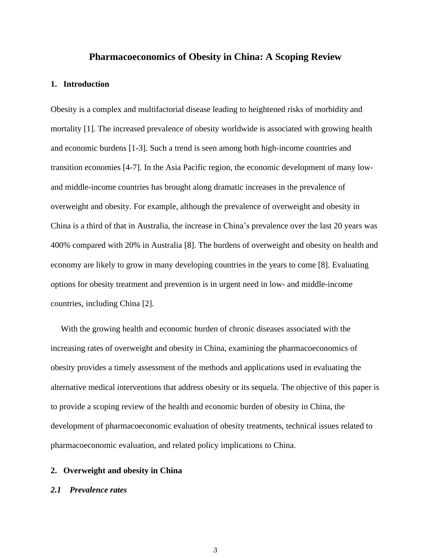#### **Pharmacoeconomics of Obesity in China: A Scoping Review**

#### **1. Introduction**

Obesity is a complex and multifactorial disease leading to heightened risks of morbidity and mortality [1]. The increased prevalence of obesity worldwide is associated with growing health and economic burdens [1-3]. Such a trend is seen among both high-income countries and transition economies [4-7]. In the Asia Pacific region, the economic development of many lowand middle-income countries has brought along dramatic increases in the prevalence of overweight and obesity. For example, although the prevalence of overweight and obesity in China is a third of that in Australia, the increase in China's prevalence over the last 20 years was 400% compared with 20% in Australia [8]. The burdens of overweight and obesity on health and economy are likely to grow in many developing countries in the years to come [8]. Evaluating options for obesity treatment and prevention is in urgent need in low- and middle-income countries, including China [2].

With the growing health and economic burden of chronic diseases associated with the increasing rates of overweight and obesity in China, examining the pharmacoeconomics of obesity provides a timely assessment of the methods and applications used in evaluating the alternative medical interventions that address obesity or its sequela. The objective of this paper is to provide a scoping review of the health and economic burden of obesity in China, the development of pharmacoeconomic evaluation of obesity treatments, technical issues related to pharmacoeconomic evaluation, and related policy implications to China.

#### **2. Overweight and obesity in China**

#### *2.1 Prevalence rates*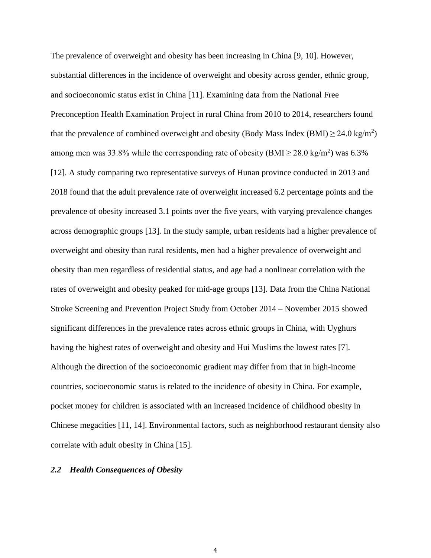The prevalence of overweight and obesity has been increasing in China [9, 10]. However, substantial differences in the incidence of overweight and obesity across gender, ethnic group, and socioeconomic status exist in China [11]. Examining data from the National Free Preconception Health Examination Project in rural China from 2010 to 2014, researchers found that the prevalence of combined overweight and obesity (Body Mass Index (BMI)  $\geq 24.0 \text{ kg/m}^2$ ) among men was 33.8% while the corresponding rate of obesity (BMI  $\geq$  28.0 kg/m<sup>2</sup>) was 6.3% [12]. A study comparing two representative surveys of Hunan province conducted in 2013 and 2018 found that the adult prevalence rate of overweight increased 6.2 percentage points and the prevalence of obesity increased 3.1 points over the five years, with varying prevalence changes across demographic groups [13]. In the study sample, urban residents had a higher prevalence of overweight and obesity than rural residents, men had a higher prevalence of overweight and obesity than men regardless of residential status, and age had a nonlinear correlation with the rates of overweight and obesity peaked for mid-age groups [13]. Data from the China National Stroke Screening and Prevention Project Study from October 2014 – November 2015 showed significant differences in the prevalence rates across ethnic groups in China, with Uyghurs having the highest rates of overweight and obesity and Hui Muslims the lowest rates [7]. Although the direction of the socioeconomic gradient may differ from that in high-income countries, socioeconomic status is related to the incidence of obesity in China. For example, pocket money for children is associated with an increased incidence of childhood obesity in Chinese megacities [11, 14]. Environmental factors, such as neighborhood restaurant density also correlate with adult obesity in China [15].

# *2.2 Health Consequences of Obesity*

4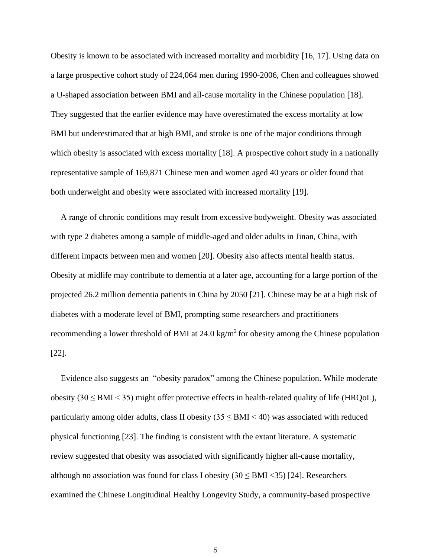Obesity is known to be associated with increased mortality and morbidity [16, 17]. Using data on a large prospective cohort study of 224,064 men during 1990-2006, Chen and colleagues showed a U-shaped association between BMI and all-cause mortality in the Chinese population [18]. They suggested that the earlier evidence may have overestimated the excess mortality at low BMI but underestimated that at high BMI, and stroke is one of the major conditions through which obesity is associated with excess mortality [18]. A prospective cohort study in a nationally representative sample of 169,871 Chinese men and women aged 40 years or older found that both underweight and obesity were associated with increased mortality [19].

A range of chronic conditions may result from excessive bodyweight. Obesity was associated with type 2 diabetes among a sample of middle-aged and older adults in Jinan, China, with different impacts between men and women [20]. Obesity also affects mental health status. Obesity at midlife may contribute to dementia at a later age, accounting for a large portion of the projected 26.2 million dementia patients in China by 2050 [21]. Chinese may be at a high risk of diabetes with a moderate level of BMI, prompting some researchers and practitioners recommending a lower threshold of BMI at  $24.0 \text{ kg/m}^2$  for obesity among the Chinese population [22].

Evidence also suggests an "obesity paradox" among the Chinese population. While moderate obesity (30  $\le$  BMI  $\le$  35) might offer protective effects in health-related quality of life (HRQoL), particularly among older adults, class II obesity  $(35 \leq BMI \leq 40)$  was associated with reduced physical functioning [23]. The finding is consistent with the extant literature. A systematic review suggested that obesity was associated with significantly higher all-cause mortality, although no association was found for class I obesity  $(30 \leq BMI \leq 35)$  [24]. Researchers examined the Chinese Longitudinal Healthy Longevity Study, a community-based prospective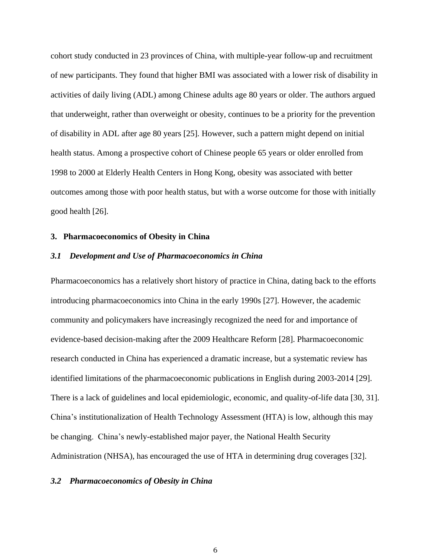cohort study conducted in 23 provinces of China, with multiple-year follow-up and recruitment of new participants. They found that higher BMI was associated with a lower risk of disability in activities of daily living (ADL) among Chinese adults age 80 years or older. The authors argued that underweight, rather than overweight or obesity, continues to be a priority for the prevention of disability in ADL after age 80 years [25]. However, such a pattern might depend on initial health status. Among a prospective cohort of Chinese people 65 years or older enrolled from 1998 to 2000 at Elderly Health Centers in Hong Kong, obesity was associated with better outcomes among those with poor health status, but with a worse outcome for those with initially good health [26].

#### **3. Pharmacoeconomics of Obesity in China**

## *3.1 Development and Use of Pharmacoeconomics in China*

Pharmacoeconomics has a relatively short history of practice in China, dating back to the efforts introducing pharmacoeconomics into China in the early 1990s [27]. However, the academic community and policymakers have increasingly recognized the need for and importance of evidence-based decision-making after the 2009 Healthcare Reform [28]. Pharmacoeconomic research conducted in China has experienced a dramatic increase, but a systematic review has identified limitations of the pharmacoeconomic publications in English during 2003-2014 [29]. There is a lack of guidelines and local epidemiologic, economic, and quality-of-life data [30, 31]. China's institutionalization of Health Technology Assessment (HTA) is low, although this may be changing. China's newly-established major payer, the National Health Security Administration (NHSA), has encouraged the use of HTA in determining drug coverages [32].

#### *3.2 Pharmacoeconomics of Obesity in China*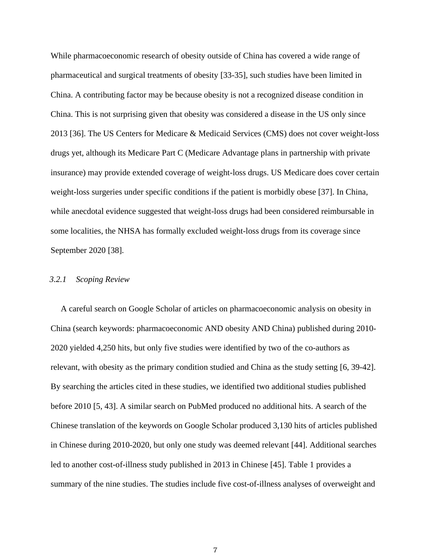While pharmacoeconomic research of obesity outside of China has covered a wide range of pharmaceutical and surgical treatments of obesity [33-35], such studies have been limited in China. A contributing factor may be because obesity is not a recognized disease condition in China. This is not surprising given that obesity was considered a disease in the US only since 2013 [36]. The US Centers for Medicare & Medicaid Services (CMS) does not cover weight-loss drugs yet, although its Medicare Part C (Medicare Advantage plans in partnership with private insurance) may provide extended coverage of weight-loss drugs. US Medicare does cover certain weight-loss surgeries under specific conditions if the patient is morbidly obese [37]. In China, while anecdotal evidence suggested that weight-loss drugs had been considered reimbursable in some localities, the NHSA has formally excluded weight-loss drugs from its coverage since September 2020 [38].

## *3.2.1 Scoping Review*

A careful search on Google Scholar of articles on pharmacoeconomic analysis on obesity in China (search keywords: pharmacoeconomic AND obesity AND China) published during 2010- 2020 yielded 4,250 hits, but only five studies were identified by two of the co-authors as relevant, with obesity as the primary condition studied and China as the study setting [6, 39-42]. By searching the articles cited in these studies, we identified two additional studies published before 2010 [5, 43]. A similar search on PubMed produced no additional hits. A search of the Chinese translation of the keywords on Google Scholar produced 3,130 hits of articles published in Chinese during 2010-2020, but only one study was deemed relevant [44]. Additional searches led to another cost-of-illness study published in 2013 in Chinese [45]. Table 1 provides a summary of the nine studies. The studies include five cost-of-illness analyses of overweight and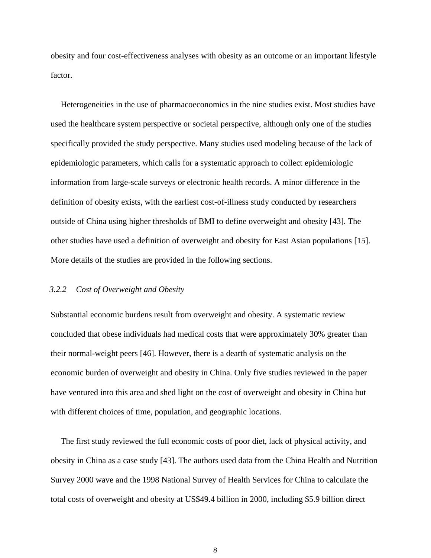obesity and four cost-effectiveness analyses with obesity as an outcome or an important lifestyle factor.

Heterogeneities in the use of pharmacoeconomics in the nine studies exist. Most studies have used the healthcare system perspective or societal perspective, although only one of the studies specifically provided the study perspective. Many studies used modeling because of the lack of epidemiologic parameters, which calls for a systematic approach to collect epidemiologic information from large-scale surveys or electronic health records. A minor difference in the definition of obesity exists, with the earliest cost-of-illness study conducted by researchers outside of China using higher thresholds of BMI to define overweight and obesity [43]. The other studies have used a definition of overweight and obesity for East Asian populations [15]. More details of the studies are provided in the following sections.

#### *3.2.2 Cost of Overweight and Obesity*

Substantial economic burdens result from overweight and obesity. A systematic review concluded that obese individuals had medical costs that were approximately 30% greater than their normal-weight peers [46]. However, there is a dearth of systematic analysis on the economic burden of overweight and obesity in China. Only five studies reviewed in the paper have ventured into this area and shed light on the cost of overweight and obesity in China but with different choices of time, population, and geographic locations.

The first study reviewed the full economic costs of poor diet, lack of physical activity, and obesity in China as a case study [43]. The authors used data from the China Health and Nutrition Survey 2000 wave and the 1998 National Survey of Health Services for China to calculate the total costs of overweight and obesity at US\$49.4 billion in 2000, including \$5.9 billion direct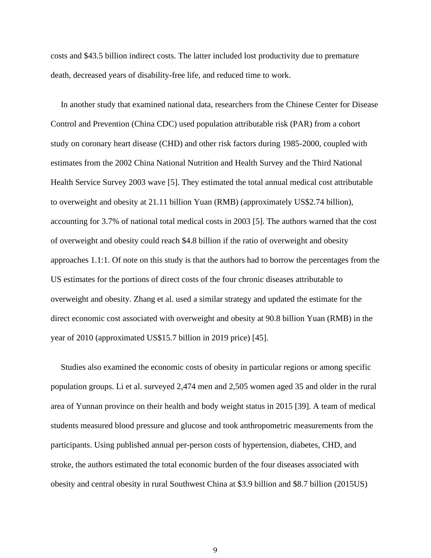costs and \$43.5 billion indirect costs. The latter included lost productivity due to premature death, decreased years of disability-free life, and reduced time to work.

In another study that examined national data, researchers from the Chinese Center for Disease Control and Prevention (China CDC) used population attributable risk (PAR) from a cohort study on coronary heart disease (CHD) and other risk factors during 1985-2000, coupled with estimates from the 2002 China National Nutrition and Health Survey and the Third National Health Service Survey 2003 wave [5]. They estimated the total annual medical cost attributable to overweight and obesity at 21.11 billion Yuan (RMB) (approximately US\$2.74 billion), accounting for 3.7% of national total medical costs in 2003 [5]. The authors warned that the cost of overweight and obesity could reach \$4.8 billion if the ratio of overweight and obesity approaches 1.1:1. Of note on this study is that the authors had to borrow the percentages from the US estimates for the portions of direct costs of the four chronic diseases attributable to overweight and obesity. Zhang et al. used a similar strategy and updated the estimate for the direct economic cost associated with overweight and obesity at 90.8 billion Yuan (RMB) in the year of 2010 (approximated US\$15.7 billion in 2019 price) [45].

Studies also examined the economic costs of obesity in particular regions or among specific population groups. Li et al. surveyed 2,474 men and 2,505 women aged 35 and older in the rural area of Yunnan province on their health and body weight status in 2015 [39]. A team of medical students measured blood pressure and glucose and took anthropometric measurements from the participants. Using published annual per-person costs of hypertension, diabetes, CHD, and stroke, the authors estimated the total economic burden of the four diseases associated with obesity and central obesity in rural Southwest China at \$3.9 billion and \$8.7 billion (2015US)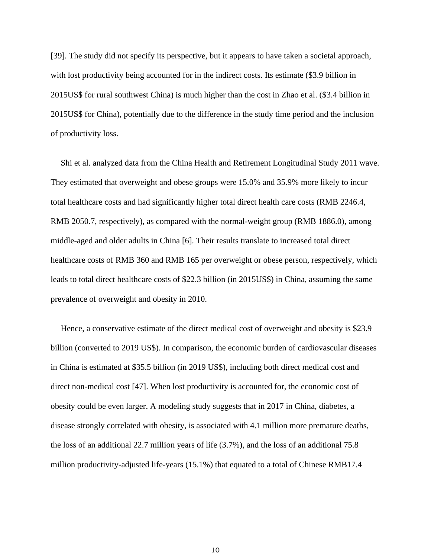[39]. The study did not specify its perspective, but it appears to have taken a societal approach, with lost productivity being accounted for in the indirect costs. Its estimate (\$3.9 billion in 2015US\$ for rural southwest China) is much higher than the cost in Zhao et al. (\$3.4 billion in 2015US\$ for China), potentially due to the difference in the study time period and the inclusion of productivity loss.

Shi et al. analyzed data from the China Health and Retirement Longitudinal Study 2011 wave. They estimated that overweight and obese groups were 15.0% and 35.9% more likely to incur total healthcare costs and had significantly higher total direct health care costs (RMB 2246.4, RMB 2050.7, respectively), as compared with the normal-weight group (RMB 1886.0), among middle-aged and older adults in China [6]. Their results translate to increased total direct healthcare costs of RMB 360 and RMB 165 per overweight or obese person, respectively, which leads to total direct healthcare costs of \$22.3 billion (in 2015US\$) in China, assuming the same prevalence of overweight and obesity in 2010.

Hence, a conservative estimate of the direct medical cost of overweight and obesity is \$23.9 billion (converted to 2019 US\$). In comparison, the economic burden of cardiovascular diseases in China is estimated at \$35.5 billion (in 2019 US\$), including both direct medical cost and direct non-medical cost [47]. When lost productivity is accounted for, the economic cost of obesity could be even larger. A modeling study suggests that in 2017 in China, diabetes, a disease strongly correlated with obesity, is associated with 4.1 million more premature deaths, the loss of an additional 22.7 million years of life (3.7%), and the loss of an additional 75.8 million productivity-adjusted life-years (15.1%) that equated to a total of Chinese RMB17.4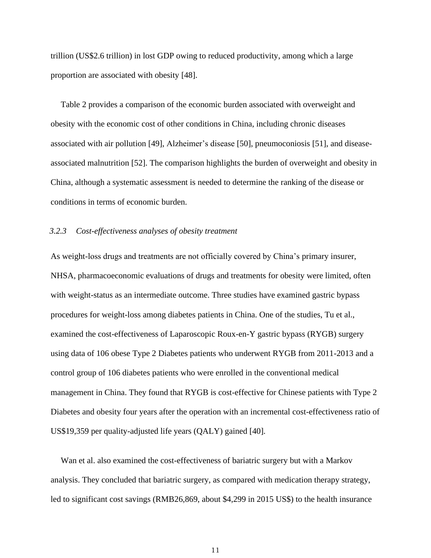trillion (US\$2.6 trillion) in lost GDP owing to reduced productivity, among which a large proportion are associated with obesity [48].

Table 2 provides a comparison of the economic burden associated with overweight and obesity with the economic cost of other conditions in China, including chronic diseases associated with air pollution [49], Alzheimer's disease [50], pneumoconiosis [51], and diseaseassociated malnutrition [52]. The comparison highlights the burden of overweight and obesity in China, although a systematic assessment is needed to determine the ranking of the disease or conditions in terms of economic burden.

#### *3.2.3 Cost-effectiveness analyses of obesity treatment*

As weight-loss drugs and treatments are not officially covered by China's primary insurer, NHSA, pharmacoeconomic evaluations of drugs and treatments for obesity were limited, often with weight-status as an intermediate outcome. Three studies have examined gastric bypass procedures for weight-loss among diabetes patients in China. One of the studies, Tu et al., examined the cost-effectiveness of Laparoscopic Roux-en-Y gastric bypass (RYGB) surgery using data of 106 obese Type 2 Diabetes patients who underwent RYGB from 2011-2013 and a control group of 106 diabetes patients who were enrolled in the conventional medical management in China. They found that RYGB is cost-effective for Chinese patients with Type 2 Diabetes and obesity four years after the operation with an incremental cost-effectiveness ratio of US\$19,359 per quality-adjusted life years (QALY) gained [40].

Wan et al. also examined the cost-effectiveness of bariatric surgery but with a Markov analysis. They concluded that bariatric surgery, as compared with medication therapy strategy, led to significant cost savings (RMB26,869, about \$4,299 in 2015 US\$) to the health insurance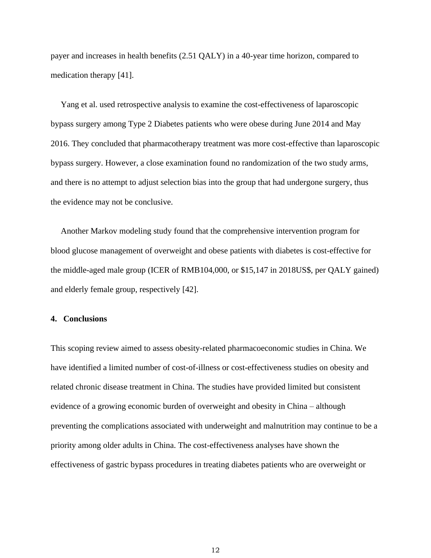payer and increases in health benefits (2.51 QALY) in a 40-year time horizon, compared to medication therapy [41].

Yang et al. used retrospective analysis to examine the cost-effectiveness of laparoscopic bypass surgery among Type 2 Diabetes patients who were obese during June 2014 and May 2016. They concluded that pharmacotherapy treatment was more cost-effective than laparoscopic bypass surgery. However, a close examination found no randomization of the two study arms, and there is no attempt to adjust selection bias into the group that had undergone surgery, thus the evidence may not be conclusive.

Another Markov modeling study found that the comprehensive intervention program for blood glucose management of overweight and obese patients with diabetes is cost-effective for the middle-aged male group (ICER of RMB104,000, or \$15,147 in 2018US\$, per QALY gained) and elderly female group, respectively [42].

# **4. Conclusions**

This scoping review aimed to assess obesity-related pharmacoeconomic studies in China. We have identified a limited number of cost-of-illness or cost-effectiveness studies on obesity and related chronic disease treatment in China. The studies have provided limited but consistent evidence of a growing economic burden of overweight and obesity in China – although preventing the complications associated with underweight and malnutrition may continue to be a priority among older adults in China. The cost-effectiveness analyses have shown the effectiveness of gastric bypass procedures in treating diabetes patients who are overweight or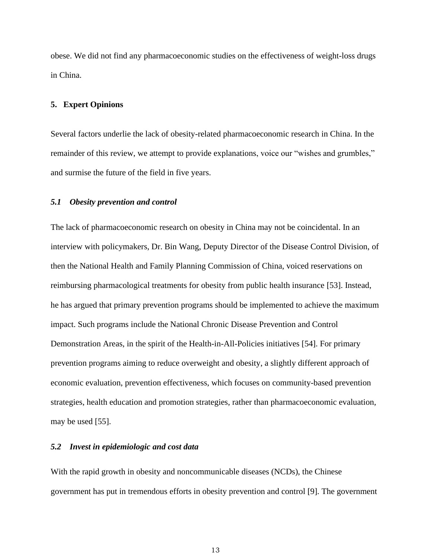obese. We did not find any pharmacoeconomic studies on the effectiveness of weight-loss drugs in China.

#### **5. Expert Opinions**

Several factors underlie the lack of obesity-related pharmacoeconomic research in China. In the remainder of this review, we attempt to provide explanations, voice our "wishes and grumbles," and surmise the future of the field in five years.

#### *5.1 Obesity prevention and control*

The lack of pharmacoeconomic research on obesity in China may not be coincidental. In an interview with policymakers, Dr. Bin Wang, Deputy Director of the Disease Control Division, of then the National Health and Family Planning Commission of China, voiced reservations on reimbursing pharmacological treatments for obesity from public health insurance [53]. Instead, he has argued that primary prevention programs should be implemented to achieve the maximum impact. Such programs include the National Chronic Disease Prevention and Control Demonstration Areas, in the spirit of the Health-in-All-Policies initiatives [54]. For primary prevention programs aiming to reduce overweight and obesity, a slightly different approach of economic evaluation, prevention effectiveness, which focuses on community-based prevention strategies, health education and promotion strategies, rather than pharmacoeconomic evaluation, may be used [55].

#### *5.2 Invest in epidemiologic and cost data*

With the rapid growth in obesity and noncommunicable diseases (NCDs), the Chinese government has put in tremendous efforts in obesity prevention and control [9]. The government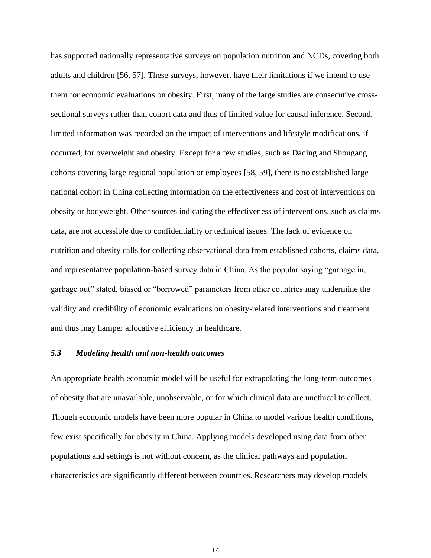has supported nationally representative surveys on population nutrition and NCDs, covering both adults and children [56, 57]. These surveys, however, have their limitations if we intend to use them for economic evaluations on obesity. First, many of the large studies are consecutive crosssectional surveys rather than cohort data and thus of limited value for causal inference. Second, limited information was recorded on the impact of interventions and lifestyle modifications, if occurred, for overweight and obesity. Except for a few studies, such as Daqing and Shougang cohorts covering large regional population or employees [58, 59], there is no established large national cohort in China collecting information on the effectiveness and cost of interventions on obesity or bodyweight. Other sources indicating the effectiveness of interventions, such as claims data, are not accessible due to confidentiality or technical issues. The lack of evidence on nutrition and obesity calls for collecting observational data from established cohorts, claims data, and representative population-based survey data in China. As the popular saying "garbage in, garbage out" stated, biased or "borrowed" parameters from other countries may undermine the validity and credibility of economic evaluations on obesity-related interventions and treatment and thus may hamper allocative efficiency in healthcare.

# *5.3 Modeling health and non-health outcomes*

An appropriate health economic model will be useful for extrapolating the long-term outcomes of obesity that are unavailable, unobservable, or for which clinical data are unethical to collect. Though economic models have been more popular in China to model various health conditions, few exist specifically for obesity in China. Applying models developed using data from other populations and settings is not without concern, as the clinical pathways and population characteristics are significantly different between countries. Researchers may develop models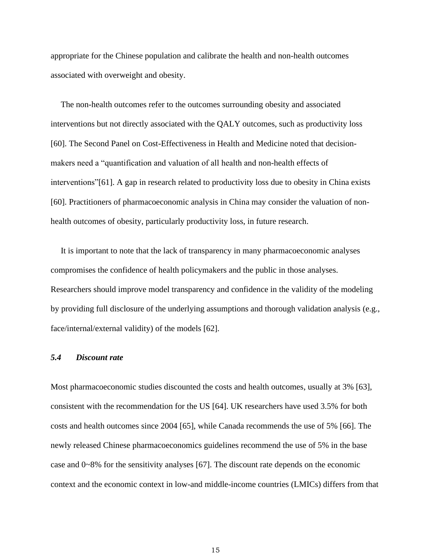appropriate for the Chinese population and calibrate the health and non-health outcomes associated with overweight and obesity.

The non-health outcomes refer to the outcomes surrounding obesity and associated interventions but not directly associated with the QALY outcomes, such as productivity loss [60]. The Second Panel on Cost-Effectiveness in Health and Medicine noted that decisionmakers need a "quantification and valuation of all health and non-health effects of interventions"[61]. A gap in research related to productivity loss due to obesity in China exists [60]. Practitioners of pharmacoeconomic analysis in China may consider the valuation of nonhealth outcomes of obesity, particularly productivity loss, in future research.

It is important to note that the lack of transparency in many pharmacoeconomic analyses compromises the confidence of health policymakers and the public in those analyses. Researchers should improve model transparency and confidence in the validity of the modeling by providing full disclosure of the underlying assumptions and thorough validation analysis (e.g., face/internal/external validity) of the models [62].

## *5.4 Discount rate*

Most pharmacoeconomic studies discounted the costs and health outcomes, usually at 3% [63], consistent with the recommendation for the US [64]. UK researchers have used 3.5% for both costs and health outcomes since 2004 [65], while Canada recommends the use of 5% [66]. The newly released Chinese pharmacoeconomics guidelines recommend the use of 5% in the base case and 0~8% for the sensitivity analyses [67]. The discount rate depends on the economic context and the economic context in low-and middle-income countries (LMICs) differs from that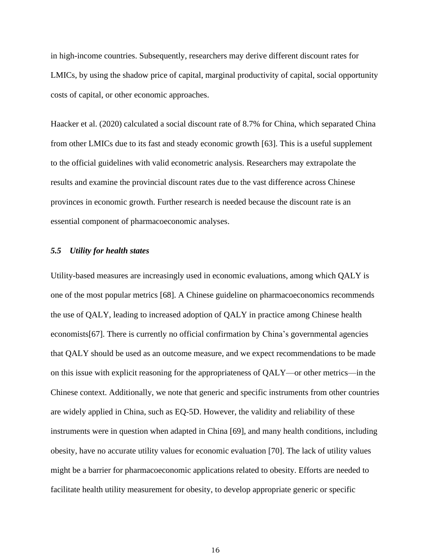in high-income countries. Subsequently, researchers may derive different discount rates for LMICs, by using the shadow price of capital, marginal productivity of capital, social opportunity costs of capital, or other economic approaches.

Haacker et al. (2020) calculated a social discount rate of 8.7% for China, which separated China from other LMICs due to its fast and steady economic growth [63]. This is a useful supplement to the official guidelines with valid econometric analysis. Researchers may extrapolate the results and examine the provincial discount rates due to the vast difference across Chinese provinces in economic growth. Further research is needed because the discount rate is an essential component of pharmacoeconomic analyses.

#### *5.5 Utility for health states*

Utility-based measures are increasingly used in economic evaluations, among which QALY is one of the most popular metrics [68]. A Chinese guideline on pharmacoeconomics recommends the use of QALY, leading to increased adoption of QALY in practice among Chinese health economists[67]. There is currently no official confirmation by China's governmental agencies that QALY should be used as an outcome measure, and we expect recommendations to be made on this issue with explicit reasoning for the appropriateness of QALY—or other metrics—in the Chinese context. Additionally, we note that generic and specific instruments from other countries are widely applied in China, such as EQ-5D. However, the validity and reliability of these instruments were in question when adapted in China [69], and many health conditions, including obesity, have no accurate utility values for economic evaluation [70]. The lack of utility values might be a barrier for pharmacoeconomic applications related to obesity. Efforts are needed to facilitate health utility measurement for obesity, to develop appropriate generic or specific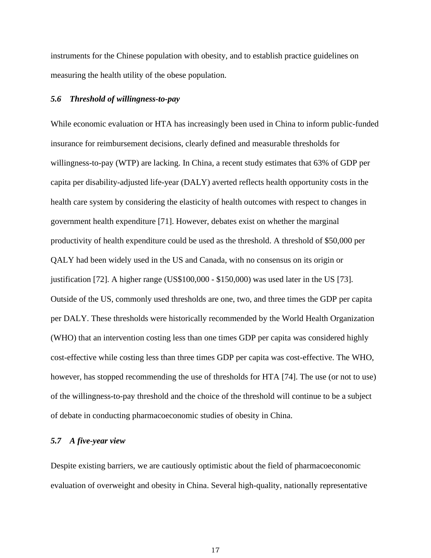instruments for the Chinese population with obesity, and to establish practice guidelines on measuring the health utility of the obese population.

### *5.6 Threshold of willingness-to-pay*

While economic evaluation or HTA has increasingly been used in China to inform public-funded insurance for reimbursement decisions, clearly defined and measurable thresholds for willingness-to-pay (WTP) are lacking. In China, a recent study estimates that 63% of GDP per capita per disability-adjusted life-year (DALY) averted reflects health opportunity costs in the health care system by considering the elasticity of health outcomes with respect to changes in government health expenditure [71]. However, debates exist on whether the marginal productivity of health expenditure could be used as the threshold. A threshold of \$50,000 per QALY had been widely used in the US and Canada, with no consensus on its origin or justification [72]. A higher range (US\$100,000 - \$150,000) was used later in the US [73]. Outside of the US, commonly used thresholds are one, two, and three times the GDP per capita per DALY. These thresholds were historically recommended by the World Health Organization (WHO) that an intervention costing less than one times GDP per capita was considered highly cost-effective while costing less than three times GDP per capita was cost-effective. The WHO, however, has stopped recommending the use of thresholds for HTA [74]. The use (or not to use) of the willingness-to-pay threshold and the choice of the threshold will continue to be a subject of debate in conducting pharmacoeconomic studies of obesity in China.

#### *5.7 A five-year view*

Despite existing barriers, we are cautiously optimistic about the field of pharmacoeconomic evaluation of overweight and obesity in China. Several high-quality, nationally representative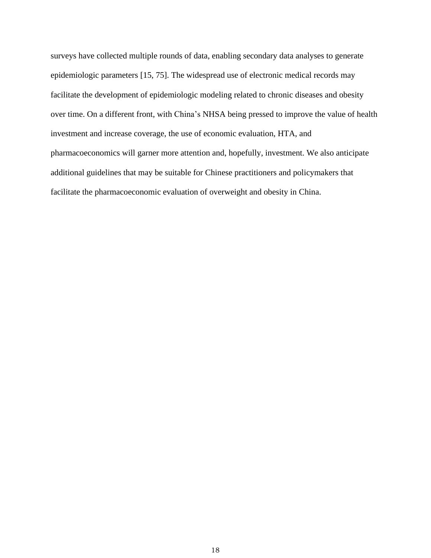surveys have collected multiple rounds of data, enabling secondary data analyses to generate epidemiologic parameters [15, 75]. The widespread use of electronic medical records may facilitate the development of epidemiologic modeling related to chronic diseases and obesity over time. On a different front, with China's NHSA being pressed to improve the value of health investment and increase coverage, the use of economic evaluation, HTA, and pharmacoeconomics will garner more attention and, hopefully, investment. We also anticipate additional guidelines that may be suitable for Chinese practitioners and policymakers that facilitate the pharmacoeconomic evaluation of overweight and obesity in China.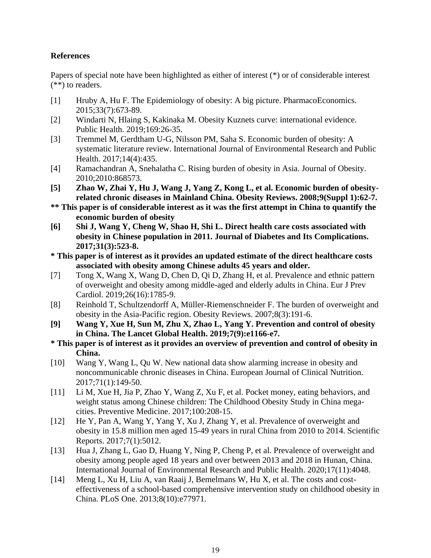# **References**

Papers of special note have been highlighted as either of interest (\*) or of considerable interest (\*\*) to readers.

- [1] Hruby A, Hu F. The Epidemiology of obesity: A big picture. PharmacoEconomics. 2015;33(7):673-89.
- [2] Windarti N, Hlaing S, Kakinaka M. Obesity Kuznets curve: international evidence. Public Health. 2019;169:26-35.
- [3] Tremmel M, Gerdtham U-G, Nilsson PM, Saha S. Economic burden of obesity: A systematic literature review. International Journal of Environmental Research and Public Health. 2017;14(4):435.
- [4] Ramachandran A, Snehalatha C. Rising burden of obesity in Asia. Journal of Obesity. 2010;2010:868573.
- **[5] Zhao W, Zhai Y, Hu J, Wang J, Yang Z, Kong L, et al. Economic burden of obesityrelated chronic diseases in Mainland China. Obesity Reviews. 2008;9(Suppl 1):62-7.**
- **\*\* This paper is of considerable interest as it was the first attempt in China to quantify the economic burden of obesity**
- **[6] Shi J, Wang Y, Cheng W, Shao H, Shi L. Direct health care costs associated with obesity in Chinese population in 2011. Journal of Diabetes and Its Complications. 2017;31(3):523-8.**
- **\* This paper is of interest as it provides an updated estimate of the direct healthcare costs associated with obesity among Chinese adults 45 years and older.**
- [7] Tong X, Wang X, Wang D, Chen D, Qi D, Zhang H, et al. Prevalence and ethnic pattern of overweight and obesity among middle-aged and elderly adults in China. Eur J Prev Cardiol. 2019;26(16):1785-9.
- [8] Reinhold T, Schultzendorff A, Müller-Riemenschneider F. The burden of overweight and obesity in the Asia-Pacific region. Obesity Reviews. 2007;8(3):191-6.
- **[9] Wang Y, Xue H, Sun M, Zhu X, Zhao L, Yang Y. Prevention and control of obesity in China. The Lancet Global Health. 2019;7(9):e1166-e7.**
- **\* This paper is of interest as it provides an overview of prevention and control of obesity in China.**
- [10] Wang Y, Wang L, Qu W. New national data show alarming increase in obesity and noncommunicable chronic diseases in China. European Journal of Clinical Nutrition. 2017;71(1):149-50.
- [11] Li M, Xue H, Jia P, Zhao Y, Wang Z, Xu F, et al. Pocket money, eating behaviors, and weight status among Chinese children: The Childhood Obesity Study in China megacities. Preventive Medicine. 2017;100:208-15.
- [12] He Y, Pan A, Wang Y, Yang Y, Xu J, Zhang Y, et al. Prevalence of overweight and obesity in 15.8 million men aged 15-49 years in rural China from 2010 to 2014. Scientific Reports. 2017;7(1):5012.
- [13] Hua J, Zhang L, Gao D, Huang Y, Ning P, Cheng P, et al. Prevalence of overweight and obesity among people aged 18 years and over between 2013 and 2018 in Hunan, China. International Journal of Environmental Research and Public Health. 2020;17(11):4048.
- [14] Meng L, Xu H, Liu A, van Raaij J, Bemelmans W, Hu X, et al. The costs and costeffectiveness of a school-based comprehensive intervention study on childhood obesity in China. PLoS One. 2013;8(10):e77971.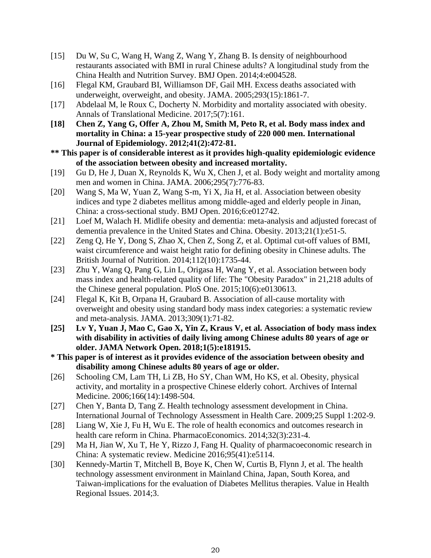- [15] Du W, Su C, Wang H, Wang Z, Wang Y, Zhang B. Is density of neighbourhood restaurants associated with BMI in rural Chinese adults? A longitudinal study from the China Health and Nutrition Survey. BMJ Open. 2014;4:e004528.
- [16] Flegal KM, Graubard BI, Williamson DF, Gail MH. Excess deaths associated with underweight, overweight, and obesity. JAMA. 2005;293(15):1861-7.
- [17] Abdelaal M, le Roux C, Docherty N. Morbidity and mortality associated with obesity. Annals of Translational Medicine. 2017;5(7):161.
- **[18] Chen Z, Yang G, Offer A, Zhou M, Smith M, Peto R, et al. Body mass index and mortality in China: a 15-year prospective study of 220 000 men. International Journal of Epidemiology. 2012;41(2):472-81.**
- **\*\* This paper is of considerable interest as it provides high-quality epidemiologic evidence of the association between obesity and increased mortality.**
- [19] Gu D, He J, Duan X, Reynolds K, Wu X, Chen J, et al. Body weight and mortality among men and women in China. JAMA. 2006;295(7):776-83.
- [20] Wang S, Ma W, Yuan Z, Wang S-m, Yi X, Jia H, et al. Association between obesity indices and type 2 diabetes mellitus among middle-aged and elderly people in Jinan, China: a cross-sectional study. BMJ Open. 2016;6:e012742.
- [21] Loef M, Walach H. Midlife obesity and dementia: meta-analysis and adjusted forecast of dementia prevalence in the United States and China. Obesity. 2013;21(1):e51-5.
- [22] Zeng Q, He Y, Dong S, Zhao X, Chen Z, Song Z, et al. Optimal cut-off values of BMI, waist circumference and waist height ratio for defining obesity in Chinese adults. The British Journal of Nutrition. 2014;112(10):1735-44.
- [23] Zhu Y, Wang Q, Pang G, Lin L, Origasa H, Wang Y, et al. Association between body mass index and health-related quality of life: The "Obesity Paradox" in 21,218 adults of the Chinese general population. PloS One. 2015;10(6):e0130613.
- [24] Flegal K, Kit B, Orpana H, Graubard B. Association of all-cause mortality with overweight and obesity using standard body mass index categories: a systematic review and meta-analysis. JAMA. 2013;309(1):71-82.
- **[25] Lv Y, Yuan J, Mao C, Gao X, Yin Z, Kraus V, et al. Association of body mass index with disability in activities of daily living among Chinese adults 80 years of age or older. JAMA Network Open. 2018;1(5):e181915.**
- **\* This paper is of interest as it provides evidence of the association between obesity and disability among Chinese adults 80 years of age or older.**
- [26] Schooling CM, Lam TH, Li ZB, Ho SY, Chan WM, Ho KS, et al. Obesity, physical activity, and mortality in a prospective Chinese elderly cohort. Archives of Internal Medicine. 2006;166(14):1498-504.
- [27] Chen Y, Banta D, Tang Z. Health technology assessment development in China. International Journal of Technology Assessment in Health Care. 2009;25 Suppl 1:202-9.
- [28] Liang W, Xie J, Fu H, Wu E. The role of health economics and outcomes research in health care reform in China. PharmacoEconomics. 2014;32(3):231-4.
- [29] Ma H, Jian W, Xu T, He Y, Rizzo J, Fang H. Quality of pharmacoeconomic research in China: A systematic review. Medicine 2016;95(41):e5114.
- [30] Kennedy-Martin T, Mitchell B, Boye K, Chen W, Curtis B, Flynn J, et al. The health technology assessment environment in Mainland China, Japan, South Korea, and Taiwan-implications for the evaluation of Diabetes Mellitus therapies. Value in Health Regional Issues. 2014;3.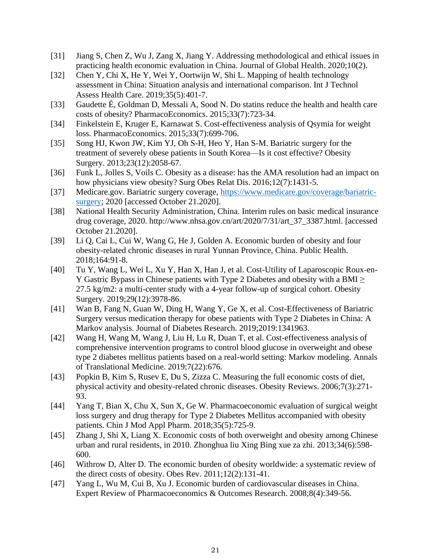- [31] Jiang S, Chen Z, Wu J, Zang X, Jiang Y. Addressing methodological and ethical issues in practicing health economic evaluation in China. Journal of Global Health. 2020;10(2).
- [32] Chen Y, Chi X, He Y, Wei Y, Oortwijn W, Shi L. Mapping of health technology assessment in China: Situation analysis and international comparison. Int J Technol Assess Health Care. 2019;35(5):401-7.
- [33] Gaudette É, Goldman D, Messali A, Sood N. Do statins reduce the health and health care costs of obesity? PharmacoEconomics. 2015;33(7):723-34.
- [34] Finkelstein E, Kruger E, Karnawat S. Cost-effectiveness analysis of Qsymia for weight loss. PharmacoEconomics. 2015;33(7):699-706.
- [35] Song HJ, Kwon JW, Kim YJ, Oh S-H, Heo Y, Han S-M. Bariatric surgery for the treatment of severely obese patients in South Korea—Is it cost effective? Obesity Surgery. 2013;23(12):2058-67.
- [36] Funk L, Jolles S, Voils C. Obesity as a disease: has the AMA resolution had an impact on how physicians view obesity? Surg Obes Relat Dis. 2016;12(7):1431-5.
- [37] Medicare.gov. Bariatric surgery coverage, https://www.medicare.gov/coverage/bariatricsurgery; 2020 [accessed October 21.2020].
- [38] National Health Security Administration, China. Interim rules on basic medical insurance drug coverage, 2020. http://www.nhsa.gov.cn/art/2020/7/31/art\_37\_3387.html. [accessed October 21.2020].
- [39] Li Q, Cai L, Cui W, Wang G, He J, Golden A. Economic burden of obesity and four obesity-related chronic diseases in rural Yunnan Province, China. Public Health. 2018;164:91-8.
- [40] Tu Y, Wang L, Wei L, Xu Y, Han X, Han J, et al. Cost-Utility of Laparoscopic Roux-en-Y Gastric Bypass in Chinese patients with Type 2 Diabetes and obesity with a BMI $\geq$ 27.5 kg/m2: a multi-center study with a 4-year follow-up of surgical cohort. Obesity Surgery. 2019;29(12):3978-86.
- [41] Wan B, Fang N, Guan W, Ding H, Wang Y, Ge X, et al. Cost-Effectiveness of Bariatric Surgery versus medication therapy for obese patients with Type 2 Diabetes in China: A Markov analysis. Journal of Diabetes Research. 2019;2019:1341963.
- [42] Wang H, Wang M, Wang J, Liu H, Lu R, Duan T, et al. Cost-effectiveness analysis of comprehensive intervention programs to control blood glucose in overweight and obese type 2 diabetes mellitus patients based on a real-world setting: Markov modeling. Annals of Translational Medicine. 2019;7(22):676.
- [43] Popkin B, Kim S, Rusev E, Du S, Zizza C. Measuring the full economic costs of diet, physical activity and obesity-related chronic diseases. Obesity Reviews. 2006;7(3):271- 93.
- [44] Yang T, Bian X, Chu X, Sun X, Ge W. Pharmacoeconomic evaluation of surgical weight loss surgery and drug therapy for Type 2 Diabetes Mellitus accompanied with obesity patients. Chin J Mod Appl Pharm. 2018;35(5):725-9.
- [45] Zhang J, Shi X, Liang X. Economic costs of both overweight and obesity among Chinese urban and rural residents, in 2010. Zhonghua liu Xing Bing xue za zhi. 2013;34(6):598- 600.
- [46] Withrow D, Alter D. The economic burden of obesity worldwide: a systematic review of the direct costs of obesity. Obes Rev. 2011;12(2):131-41.
- [47] Yang L, Wu M, Cui B, Xu J. Economic burden of cardiovascular diseases in China. Expert Review of Pharmacoeconomics & Outcomes Research. 2008;8(4):349-56.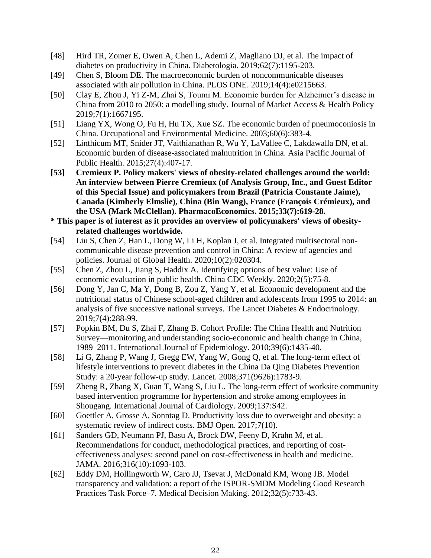- [48] Hird TR, Zomer E, Owen A, Chen L, Ademi Z, Magliano DJ, et al. The impact of diabetes on productivity in China. Diabetologia. 2019;62(7):1195-203.
- [49] Chen S, Bloom DE. The macroeconomic burden of noncommunicable diseases associated with air pollution in China. PLOS ONE. 2019;14(4):e0215663.
- [50] Clay E, Zhou J, Yi Z-M, Zhai S, Toumi M. Economic burden for Alzheimer's disease in China from 2010 to 2050: a modelling study. Journal of Market Access & Health Policy 2019;7(1):1667195.
- [51] Liang YX, Wong O, Fu H, Hu TX, Xue SZ. The economic burden of pneumoconiosis in China. Occupational and Environmental Medicine. 2003;60(6):383-4.
- [52] Linthicum MT, Snider JT, Vaithianathan R, Wu Y, LaVallee C, Lakdawalla DN, et al. Economic burden of disease-associated malnutrition in China. Asia Pacific Journal of Public Health. 2015;27(4):407-17.
- **[53] Cremieux P. Policy makers' views of obesity-related challenges around the world: An interview between Pierre Cremieux (of Analysis Group, Inc., and Guest Editor of this Special Issue) and policymakers from Brazil (Patricia Constante Jaime), Canada (Kimberly Elmslie), China (Bin Wang), France (François Crémieux), and the USA (Mark McClellan). PharmacoEconomics. 2015;33(7):619-28.**
- **\* This paper is of interest as it provides an overview of policymakers' views of obesityrelated challenges worldwide.**
- [54] Liu S, Chen Z, Han L, Dong W, Li H, Koplan J, et al. Integrated multisectoral noncommunicable disease prevention and control in China: A review of agencies and policies. Journal of Global Health. 2020;10(2):020304.
- [55] Chen Z, Zhou L, Jiang S, Haddix A. Identifying options of best value: Use of economic evaluation in public health. China CDC Weekly. 2020;2(5):75-8.
- [56] Dong Y, Jan C, Ma Y, Dong B, Zou Z, Yang Y, et al. Economic development and the nutritional status of Chinese school-aged children and adolescents from 1995 to 2014: an analysis of five successive national surveys. The Lancet Diabetes & Endocrinology. 2019;7(4):288-99.
- [57] Popkin BM, Du S, Zhai F, Zhang B. Cohort Profile: The China Health and Nutrition Survey—monitoring and understanding socio-economic and health change in China, 1989–2011. International Journal of Epidemiology. 2010;39(6):1435-40.
- [58] Li G, Zhang P, Wang J, Gregg EW, Yang W, Gong Q, et al. The long-term effect of lifestyle interventions to prevent diabetes in the China Da Qing Diabetes Prevention Study: a 20-year follow-up study. Lancet. 2008;371(9626):1783-9.
- [59] Zheng R, Zhang X, Guan T, Wang S, Liu L. The long-term effect of worksite community based intervention programme for hypertension and stroke among employees in Shougang. International Journal of Cardiology. 2009;137:S42.
- [60] Goettler A, Grosse A, Sonntag D. Productivity loss due to overweight and obesity: a systematic review of indirect costs. BMJ Open. 2017;7(10).
- [61] Sanders GD, Neumann PJ, Basu A, Brock DW, Feeny D, Krahn M, et al. Recommendations for conduct, methodological practices, and reporting of costeffectiveness analyses: second panel on cost-effectiveness in health and medicine. JAMA. 2016;316(10):1093-103.
- [62] Eddy DM, Hollingworth W, Caro JJ, Tsevat J, McDonald KM, Wong JB. Model transparency and validation: a report of the ISPOR-SMDM Modeling Good Research Practices Task Force–7. Medical Decision Making. 2012;32(5):733-43.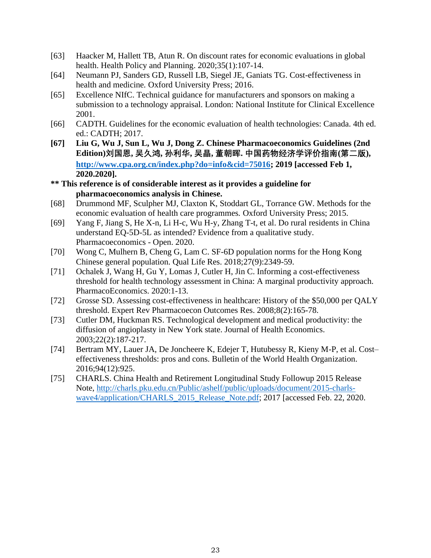- [63] Haacker M, Hallett TB, Atun R. On discount rates for economic evaluations in global health. Health Policy and Planning. 2020;35(1):107-14.
- [64] Neumann PJ, Sanders GD, Russell LB, Siegel JE, Ganiats TG. Cost-effectiveness in health and medicine*.* Oxford University Press; 2016.
- [65] Excellence NIfC. Technical guidance for manufacturers and sponsors on making a submission to a technology appraisal. London: National Institute for Clinical Excellence 2001.
- [66] CADTH. Guidelines for the economic evaluation of health technologies: Canada. 4th ed. ed.: CADTH; 2017.
- **[67] Liu G, Wu J, Sun L, Wu J, Dong Z. Chinese Pharmacoeconomics Guidelines (2nd Edition)刘国恩, 吴久鸿, 孙利华, 吴晶, 董朝晖. 中国药物经济学评价指南(第二版), http://www.cpa.org.cn/index.php?do=info&cid=75016; 2019 [accessed Feb 1, 2020.2020].**
- **\*\* This reference is of considerable interest as it provides a guideline for pharmacoeconomics analysis in Chinese.**
- [68] Drummond MF, Sculpher MJ, Claxton K, Stoddart GL, Torrance GW. Methods for the economic evaluation of health care programmes*.* Oxford University Press; 2015.
- [69] Yang F, Jiang S, He X-n, Li H-c, Wu H-y, Zhang T-t, et al. Do rural residents in China understand EQ-5D-5L as intended? Evidence from a qualitative study. Pharmacoeconomics - Open. 2020.
- [70] Wong C, Mulhern B, Cheng G, Lam C. SF-6D population norms for the Hong Kong Chinese general population. Qual Life Res. 2018;27(9):2349-59.
- [71] Ochalek J, Wang H, Gu Y, Lomas J, Cutler H, Jin C. Informing a cost-effectiveness threshold for health technology assessment in China: A marginal productivity approach. PharmacoEconomics. 2020:1-13.
- [72] Grosse SD. Assessing cost-effectiveness in healthcare: History of the \$50,000 per QALY threshold. Expert Rev Pharmacoecon Outcomes Res. 2008;8(2):165-78.
- [73] Cutler DM, Huckman RS. Technological development and medical productivity: the diffusion of angioplasty in New York state. Journal of Health Economics. 2003;22(2):187-217.
- [74] Bertram MY, Lauer JA, De Joncheere K, Edejer T, Hutubessy R, Kieny M-P, et al. Cost– effectiveness thresholds: pros and cons. Bulletin of the World Health Organization. 2016;94(12):925.
- [75] CHARLS. China Health and Retirement Longitudinal Study Followup 2015 Release Note, http://charls.pku.edu.cn/Public/ashelf/public/uploads/document/2015-charlswave4/application/CHARLS\_2015\_Release\_Note.pdf; 2017 [accessed Feb. 22, 2020.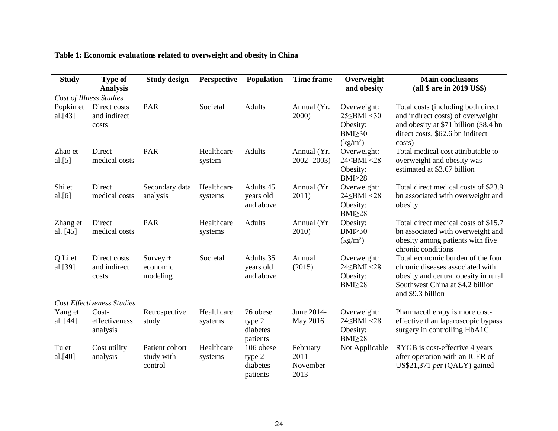| <b>Study</b>                      | <b>Type of</b><br><b>Analysis</b>     | <b>Study design</b>                     | <b>Perspective</b>    | Population                                  | <b>Time frame</b>                        | Overweight<br>and obesity                                                                      | <b>Main conclusions</b><br>(all \$ are in 2019 US\$)                                                                                                                   |
|-----------------------------------|---------------------------------------|-----------------------------------------|-----------------------|---------------------------------------------|------------------------------------------|------------------------------------------------------------------------------------------------|------------------------------------------------------------------------------------------------------------------------------------------------------------------------|
| Cost of Illness Studies           |                                       |                                         |                       |                                             |                                          |                                                                                                |                                                                                                                                                                        |
| Popkin et<br>al.[43]              | Direct costs<br>and indirect<br>costs | PAR                                     | Societal              | <b>Adults</b>                               | Annual (Yr.<br>2000)                     | Overweight:<br>$25 \leq BMI \leq 30$<br>Obesity:<br>BMI > 30<br>$\frac{\text{kg}}{\text{m}^2}$ | Total costs (including both direct<br>and indirect costs) of overweight<br>and obesity at \$71 billion (\$8.4 bn<br>direct costs, \$62.6 bn indirect<br>costs)         |
| Zhao et<br>al.[5]                 | Direct<br>medical costs               | PAR                                     | Healthcare<br>system  | <b>Adults</b>                               | Annual (Yr.<br>2002-2003)                | Overweight:<br>24 SBMI < 28<br>Obesity:<br>$BMI \geq 28$                                       | Total medical cost attributable to<br>overweight and obesity was<br>estimated at \$3.67 billion                                                                        |
| Shi et<br>al.[6]                  | Direct<br>medical costs               | Secondary data<br>analysis              | Healthcare<br>systems | Adults 45<br>years old<br>and above         | Annual (Yr<br>2011)                      | Overweight:<br>24 SBMI < 28<br>Obesity:<br>$BMI \geq 28$                                       | Total direct medical costs of \$23.9<br>bn associated with overweight and<br>obesity                                                                                   |
| Zhang et<br>al. [45]              | Direct<br>medical costs               | <b>PAR</b>                              | Healthcare<br>systems | Adults                                      | Annual (Yr<br>2010)                      | Obesity:<br>BMI > 30<br>(kg/m <sup>2</sup> )                                                   | Total direct medical costs of \$15.7<br>bn associated with overweight and<br>obesity among patients with five<br>chronic conditions                                    |
| Q Li et<br>al.[39]                | Direct costs<br>and indirect<br>costs | $Survey +$<br>economic<br>modeling      | Societal              | Adults 35<br>years old<br>and above         | Annual<br>(2015)                         | Overweight:<br>$24$ SBMI <28<br>Obesity:<br>BMI <sub>28</sub>                                  | Total economic burden of the four<br>chronic diseases associated with<br>obesity and central obesity in rural<br>Southwest China at \$4.2 billion<br>and \$9.3 billion |
| <b>Cost Effectiveness Studies</b> |                                       |                                         |                       |                                             |                                          |                                                                                                |                                                                                                                                                                        |
| Yang et<br>al. [44]               | $Cost-$<br>effectiveness<br>analysis  | Retrospective<br>study                  | Healthcare<br>systems | 76 obese<br>type 2<br>diabetes<br>patients  | June 2014-<br>May 2016                   | Overweight:<br>24 SBMI < 28<br>Obesity:<br>$BMI \geq 28$                                       | Pharmacotherapy is more cost-<br>effective than laparoscopic bypass<br>surgery in controlling HbA1C                                                                    |
| Tu et<br>al.[40]                  | Cost utility<br>analysis              | Patient cohort<br>study with<br>control | Healthcare<br>systems | 106 obese<br>type 2<br>diabetes<br>patients | February<br>$2011 -$<br>November<br>2013 | Not Applicable                                                                                 | RYGB is cost-effective 4 years<br>after operation with an ICER of<br>US\$21,371 per (QALY) gained                                                                      |

# **Table 1: Economic evaluations related to overweight and obesity in China**